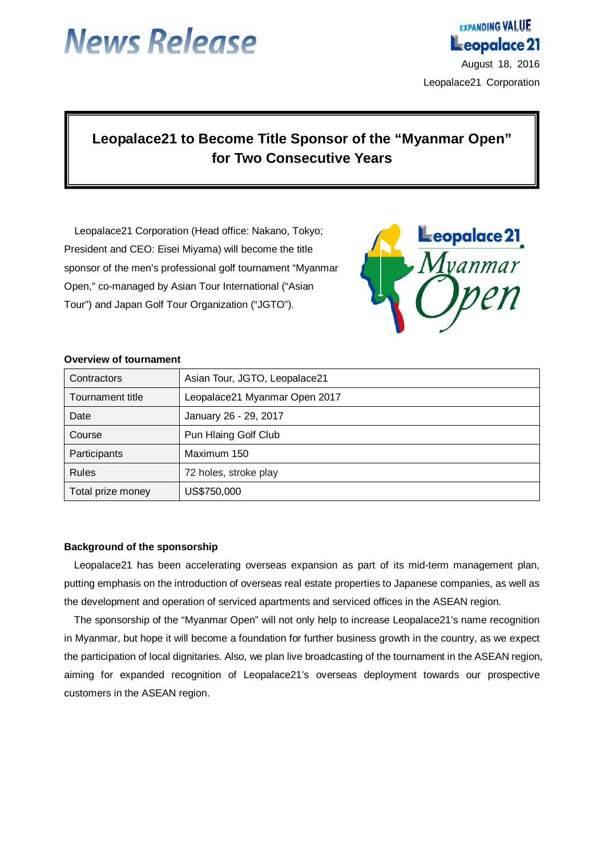

**EXPANDING VALUE** 

# **Leopalace21 to Become Title Sponsor of the "Myanmar Open" for Two Consecutive Years**

Leopalace21 Corporation (Head office: Nakano, Tokyo; President and CEO: Eisei Miyama) will become the title sponsor of the men's professional golf tournament "Myanmar Open," co-managed by Asian Tour International ("Asian Tour") and Japan Golf Tour Organization ("JGTO").



#### **Overview of tournament**

| Contractors       | Asian Tour, JGTO, Leopalace21 |
|-------------------|-------------------------------|
| Tournament title  | Leopalace21 Myanmar Open 2017 |
| Date              | January 26 - 29, 2017         |
| Course            | Pun Hlaing Golf Club          |
| Participants      | Maximum 150                   |
| <b>Rules</b>      | 72 holes, stroke play         |
| Total prize money | US\$750,000                   |

#### **Background of the sponsorship**

Leopalace21 has been accelerating overseas expansion as part of its mid-term management plan, putting emphasis on the introduction of overseas real estate properties to Japanese companies, as well as the development and operation of serviced apartments and serviced offices in the ASEAN region.

The sponsorship of the "Myanmar Open" will not only help to increase Leopalace21's name recognition in Myanmar, but hope it will become a foundation for further business growth in the country, as we expect the participation of local dignitaries. Also, we plan live broadcasting of the tournament in the ASEAN region, aiming for expanded recognition of Leopalace21's overseas deployment towards our prospective customers in the ASEAN region.